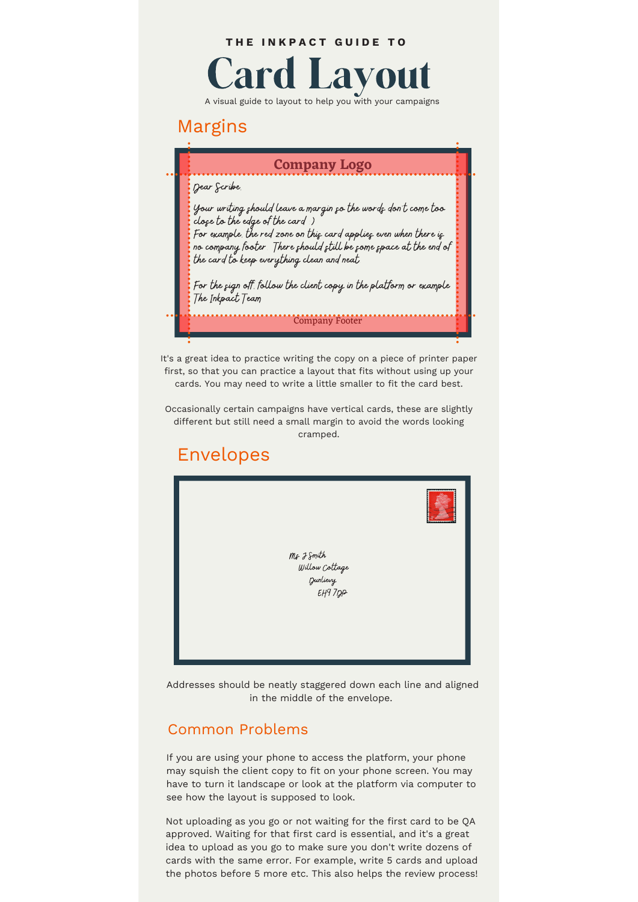#### **T H E I N K P A C T G U I D E T O**



A visual guide to layout to help you with your campaigns

## Margins

### **Company Logo**

Dear Scribe.

Your writing should leave a margin so the words don't come too close to the edge of the card :)<br>For example, the red zone on this card applies even when there is no company footer . There should still be some space at the end of

the card to keep everything clean and neat.

For the sign off follow the client copy in the platform or example The Inkpact Team

Company Footer

It's a great idea to practice writing the copy on a piece of printer paper first, so that you can practice a layout that fits without using up your cards. You may need to write a little smaller to fit the card best.

Occasionally certain campaigns have vertical cards, these are slightly different but still need a small margin to avoid the words looking cramped.

# Envelopes



Addresses should be neatly staggered down each line and aligned in the middle of the envelope.

## Common Problems

If you are using your phone to access the platform, your phone may squish the client copy to fit on your phone screen. You may have to turn it landscape or look at the platform via computer to see how the layout is supposed to look.

Not uploading as you go or not waiting for the first card to be QA approved. Waiting for that first card is essential, and it's a great idea to upload as you go to make sure you don't write dozens of cards with the same error. For example, write 5 cards and upload the photos before 5 more etc. This also helps the review process!